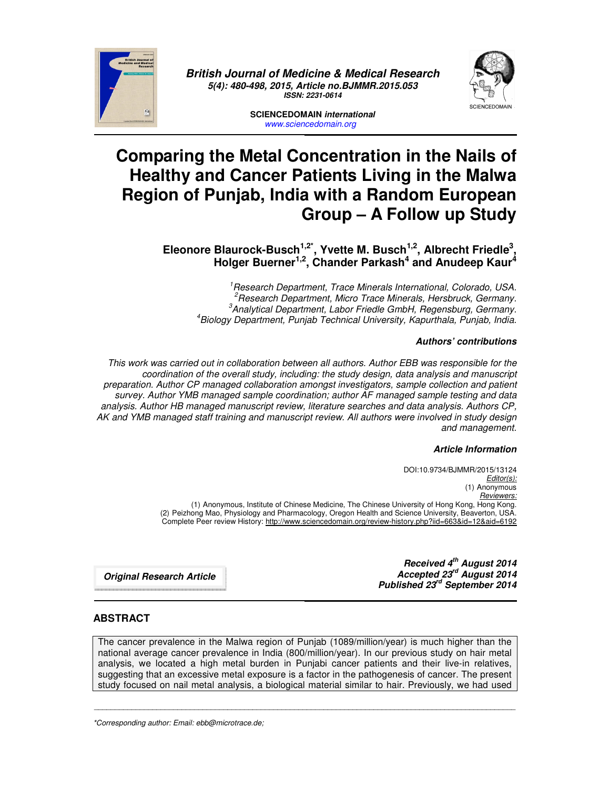

*British Journal of Medicine & Medical Research 5(4): 480-498, 2015, Article no.BJMMR.2015.053 ISSN: 2231-0614* 



**SCIENCEDOMAIN** *international www.sciencedomain.org*

# **Comparing the Metal Concentration in the Nails of Healthy and Cancer Patients Living in the Malwa Region of Punjab, India with a Random European Group – A Follow up Study**

**Eleonore Blaurock-Busch1,2\*, Yvette M. Busch1,2, Albrecht Friedle<sup>3</sup> , Holger Buerner1,2, Chander Parkash<sup>4</sup> and Anudeep Kaur<sup>4</sup>**

*Research Department, Trace Minerals International, Colorado, USA. Research Department, Micro Trace Minerals, Hersbruck, Germany. Analytical Department, Labor Friedle GmbH, Regensburg, Germany. Biology Department, Punjab Technical University, Kapurthala, Punjab, India.* 

#### *Authors' contributions*

*This work was carried out in collaboration between all authors. Author EBB was responsible for the coordination of the overall study, including: the study design, data analysis and manuscript preparation. Author CP managed collaboration amongst investigators, sample collection and patient survey. Author YMB managed sample coordination; author AF managed sample testing and data analysis. Author HB managed manuscript review, literature searches and data analysis. Authors CP, AK and YMB managed staff training and manuscript review. All authors were involved in study design and management.* 

#### *Article Information*

DOI:10.9734/BJMMR/2015/13124 *Editor(s):* (1) Anonymous *Reviewers:* (1) Anonymous, Institute of Chinese Medicine, The Chinese University of Hong Kong, Hong Kong. (2) Peizhong Mao, Physiology and Pharmacology, Oregon Health and Science University, Beaverton, USA. Complete Peer review History: http://www.sciencedomain.org/review-history.php?iid=663&id=12&aid=6192

*Original Research Article*

*Received 4th August 2014 Accepted 23rd August 2014 Published 23rd September 2014* 

## **ABSTRACT**

The cancer prevalence in the Malwa region of Punjab (1089/million/year) is much higher than the national average cancer prevalence in India (800/million/year). In our previous study on hair metal analysis, we located a high metal burden in Punjabi cancer patients and their live-in relatives, suggesting that an excessive metal exposure is a factor in the pathogenesis of cancer. The present study focused on nail metal analysis, a biological material similar to hair. Previously, we had used

 $\mathcal{L}_\mathcal{L} = \{ \mathcal{L}_\mathcal{L} = \{ \mathcal{L}_\mathcal{L} = \{ \mathcal{L}_\mathcal{L} = \{ \mathcal{L}_\mathcal{L} = \{ \mathcal{L}_\mathcal{L} = \{ \mathcal{L}_\mathcal{L} = \{ \mathcal{L}_\mathcal{L} = \{ \mathcal{L}_\mathcal{L} = \{ \mathcal{L}_\mathcal{L} = \{ \mathcal{L}_\mathcal{L} = \{ \mathcal{L}_\mathcal{L} = \{ \mathcal{L}_\mathcal{L} = \{ \mathcal{L}_\mathcal{L} = \{ \mathcal{L}_\mathcal{$ 

*\*Corresponding author: Email: ebb@microtrace.de;*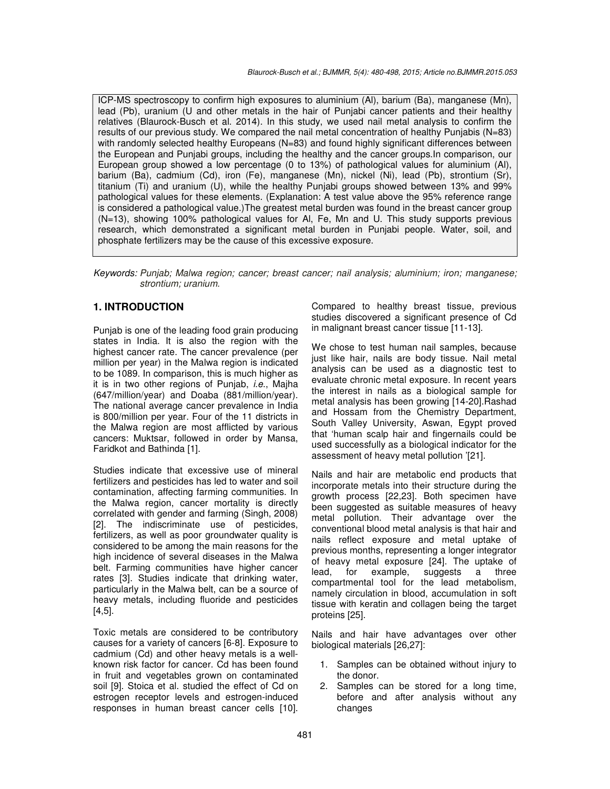ICP-MS spectroscopy to confirm high exposures to aluminium (Al), barium (Ba), manganese (Mn), lead (Pb), uranium (U and other metals in the hair of Punjabi cancer patients and their healthy relatives (Blaurock-Busch et al. 2014). In this study, we used nail metal analysis to confirm the results of our previous study. We compared the nail metal concentration of healthy Punjabis (N=83) with randomly selected healthy Europeans (N=83) and found highly significant differences between the European and Punjabi groups, including the healthy and the cancer groups.In comparison, our European group showed a low percentage (0 to 13%) of pathological values for aluminium (Al), barium (Ba), cadmium (Cd), iron (Fe), manganese (Mn), nickel (Ni), lead (Pb), strontium (Sr), titanium (Ti) and uranium (U), while the healthy Punjabi groups showed between 13% and 99% pathological values for these elements. (Explanation: A test value above the 95% reference range is considered a pathological value.)The greatest metal burden was found in the breast cancer group (N=13), showing 100% pathological values for Al, Fe, Mn and U. This study supports previous research, which demonstrated a significant metal burden in Punjabi people. Water, soil, and phosphate fertilizers may be the cause of this excessive exposure.

*Keywords: Punjab; Malwa region; cancer; breast cancer; nail analysis; aluminium; iron; manganese; strontium; uranium.* 

## **1. INTRODUCTION**

Punjab is one of the leading food grain producing states in India. It is also the region with the highest cancer rate. The cancer prevalence (per million per year) in the Malwa region is indicated to be 1089. In comparison, this is much higher as it is in two other regions of Punjab, *i.e*., Majha (647/million/year) and Doaba (881/million/year). The national average cancer prevalence in India is 800/million per year. Four of the 11 districts in the Malwa region are most afflicted by various cancers: Muktsar, followed in order by Mansa, Faridkot and Bathinda [1].

Studies indicate that excessive use of mineral fertilizers and pesticides has led to water and soil contamination, affecting farming communities. In the Malwa region, cancer mortality is directly correlated with gender and farming (Singh, 2008) [2]. The indiscriminate use of pesticides, fertilizers, as well as poor groundwater quality is considered to be among the main reasons for the high incidence of several diseases in the Malwa belt. Farming communities have higher cancer rates [3]. Studies indicate that drinking water, particularly in the Malwa belt, can be a source of heavy metals, including fluoride and pesticides [4,5].

Toxic metals are considered to be contributory causes for a variety of cancers [6-8]. Exposure to cadmium (Cd) and other heavy metals is a wellknown risk factor for cancer. Cd has been found in fruit and vegetables grown on contaminated soil [9]. Stoica et al. studied the effect of Cd on estrogen receptor levels and estrogen-induced responses in human breast cancer cells [10].

Compared to healthy breast tissue, previous studies discovered a significant presence of Cd in malignant breast cancer tissue [11-13].

We chose to test human nail samples, because just like hair, nails are body tissue. Nail metal analysis can be used as a diagnostic test to evaluate chronic metal exposure. In recent years the interest in nails as a biological sample for metal analysis has been growing [14-20].Rashad and Hossam from the Chemistry Department, South Valley University, Aswan, Egypt proved that 'human scalp hair and fingernails could be used successfully as a biological indicator for the assessment of heavy metal pollution '[21].

Nails and hair are metabolic end products that incorporate metals into their structure during the growth process [22,23]. Both specimen have been suggested as suitable measures of heavy metal pollution. Their advantage over the conventional blood metal analysis is that hair and nails reflect exposure and metal uptake of previous months, representing a longer integrator of heavy metal exposure [24]. The uptake of lead, for example, suggests a three compartmental tool for the lead metabolism, namely circulation in blood, accumulation in soft tissue with keratin and collagen being the target proteins [25].

Nails and hair have advantages over other biological materials [26,27]:

- 1. Samples can be obtained without injury to the donor.
- 2. Samples can be stored for a long time, before and after analysis without any changes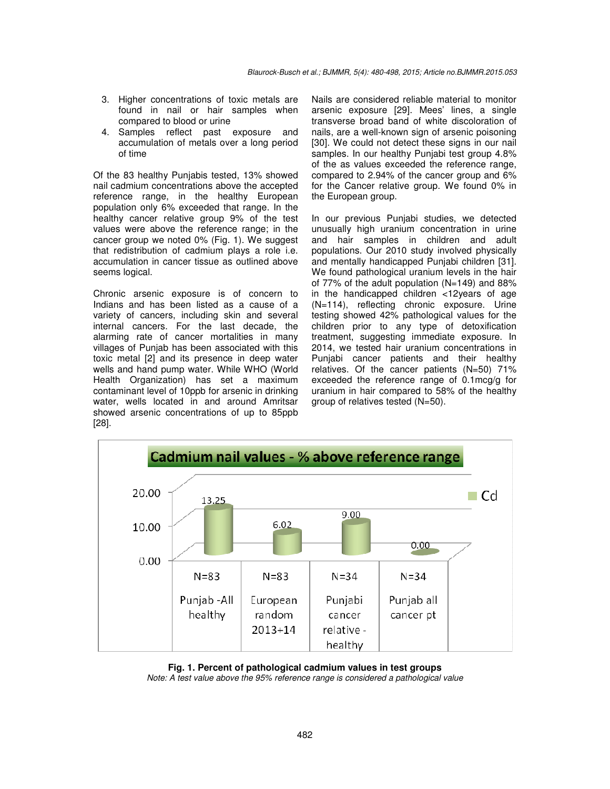- 3. Higher concentrations of toxic metals are found in nail or hair samples when compared to blood or urine
- 4. Samples reflect past exposure and accumulation of metals over a long period of time

Of the 83 healthy Punjabis tested, 13% showed nail cadmium concentrations above the accepted reference range, in the healthy European population only 6% exceeded that range. In the healthy cancer relative group 9% of the test values were above the reference range; in the cancer group we noted 0% (Fig. 1). We suggest that redistribution of cadmium plays a role i.e. accumulation in cancer tissue as outlined above seems logical.

Chronic arsenic exposure is of concern to Indians and has been listed as a cause of a variety of cancers, including skin and several internal cancers. For the last decade, the alarming rate of cancer mortalities in many villages of Punjab has been associated with this toxic metal [2] and its presence in deep water wells and hand pump water. While WHO (World Health Organization) has set a maximum contaminant level of 10ppb for arsenic in drinking water, wells located in and around Amritsar showed arsenic concentrations of up to 85ppb [28].

Nails are considered reliable material to monitor arsenic exposure [29]. Mees' lines, a single transverse broad band of white discoloration of nails, are a well-known sign of arsenic poisoning [30]. We could not detect these signs in our nail samples. In our healthy Punjabi test group 4.8% of the as values exceeded the reference range, compared to 2.94% of the cancer group and 6% for the Cancer relative group. We found 0% in the European group.

In our previous Punjabi studies, we detected unusually high uranium concentration in urine and hair samples in children and adult populations. Our 2010 study involved physically and mentally handicapped Punjabi children [31]. We found pathological uranium levels in the hair of 77% of the adult population (N=149) and 88% in the handicapped children <12years of age (N=114), reflecting chronic exposure. Urine testing showed 42% pathological values for the children prior to any type of detoxification treatment, suggesting immediate exposure. In 2014, we tested hair uranium concentrations in Punjabi cancer patients and their healthy relatives. Of the cancer patients (N=50) 71% exceeded the reference range of 0.1mcg/g for uranium in hair compared to 58% of the healthy group of relatives tested (N=50).



**Fig. 1. Percent of pathological cadmium values in test groups**  *Note: A test value above the 95% reference range is considered a pathological value*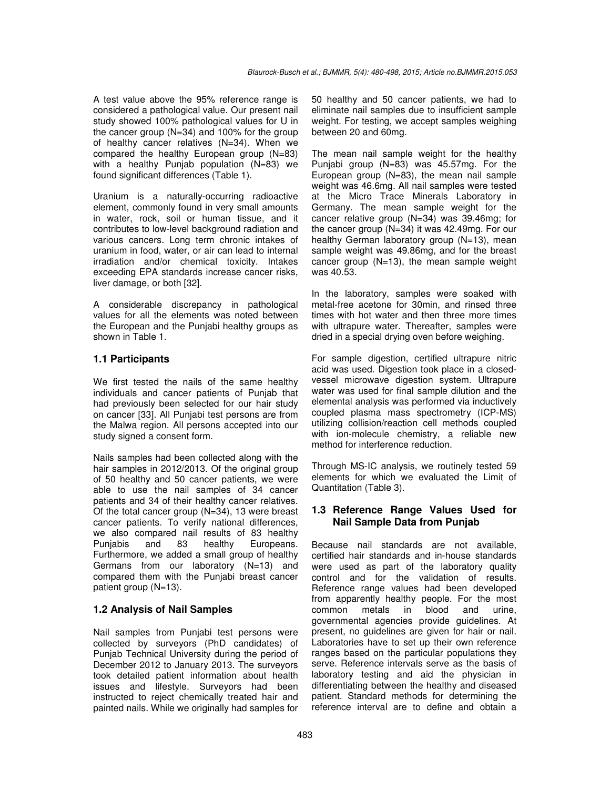A test value above the 95% reference range is considered a pathological value. Our present nail study showed 100% pathological values for U in the cancer group (N=34) and 100% for the group of healthy cancer relatives (N=34). When we compared the healthy European group (N=83) with a healthy Punjab population (N=83) we found significant differences (Table 1).

Uranium is a naturally-occurring radioactive element, commonly found in very small amounts in water, rock, soil or human tissue, and it contributes to low-level background radiation and various cancers. Long term chronic intakes of uranium in food, water, or air can lead to internal irradiation and/or chemical toxicity. Intakes exceeding EPA standards increase cancer risks, liver damage, or both [32].

A considerable discrepancy in pathological values for all the elements was noted between the European and the Punjabi healthy groups as shown in Table 1.

# **1.1 Participants**

We first tested the nails of the same healthy individuals and cancer patients of Punjab that had previously been selected for our hair study on cancer [33]. All Punjabi test persons are from the Malwa region. All persons accepted into our study signed a consent form.

Nails samples had been collected along with the hair samples in 2012/2013. Of the original group of 50 healthy and 50 cancer patients, we were able to use the nail samples of 34 cancer patients and 34 of their healthy cancer relatives. Of the total cancer group (N=34), 13 were breast cancer patients. To verify national differences, we also compared nail results of 83 healthy Punjabis and 83 healthy Europeans. Furthermore, we added a small group of healthy Germans from our laboratory (N=13) and compared them with the Punjabi breast cancer patient group (N=13).

# **1.2 Analysis of Nail Samples**

Nail samples from Punjabi test persons were collected by surveyors (PhD candidates) of Punjab Technical University during the period of December 2012 to January 2013. The surveyors took detailed patient information about health issues and lifestyle. Surveyors had been instructed to reject chemically treated hair and painted nails. While we originally had samples for 50 healthy and 50 cancer patients, we had to eliminate nail samples due to insufficient sample weight. For testing, we accept samples weighing between 20 and 60mg.

The mean nail sample weight for the healthy Punjabi group (N=83) was 45.57mg. For the European group  $(N=83)$ , the mean nail sample weight was 46.6mg. All nail samples were tested at the Micro Trace Minerals Laboratory in Germany. The mean sample weight for the cancer relative group (N=34) was 39.46mg; for the cancer group (N=34) it was 42.49mg. For our healthy German laboratory group (N=13), mean sample weight was 49.86mg, and for the breast cancer group (N=13), the mean sample weight was 40.53.

In the laboratory, samples were soaked with metal-free acetone for 30min, and rinsed three times with hot water and then three more times with ultrapure water. Thereafter, samples were dried in a special drying oven before weighing.

For sample digestion, certified ultrapure nitric acid was used. Digestion took place in a closedvessel microwave digestion system. Ultrapure water was used for final sample dilution and the elemental analysis was performed via inductively coupled plasma mass spectrometry (ICP-MS) utilizing collision/reaction cell methods coupled with ion-molecule chemistry, a reliable new method for interference reduction.

Through MS-IC analysis, we routinely tested 59 elements for which we evaluated the Limit of Quantitation (Table 3).

## **1.3 Reference Range Values Used for Nail Sample Data from Punjab**

Because nail standards are not available, certified hair standards and in-house standards were used as part of the laboratory quality control and for the validation of results. Reference range values had been developed from apparently healthy people. For the most common metals in blood and urine, governmental agencies provide guidelines. At present, no guidelines are given for hair or nail. Laboratories have to set up their own reference ranges based on the particular populations they serve. Reference intervals serve as the basis of laboratory testing and aid the physician in differentiating between the healthy and diseased patient. Standard methods for determining the reference interval are to define and obtain a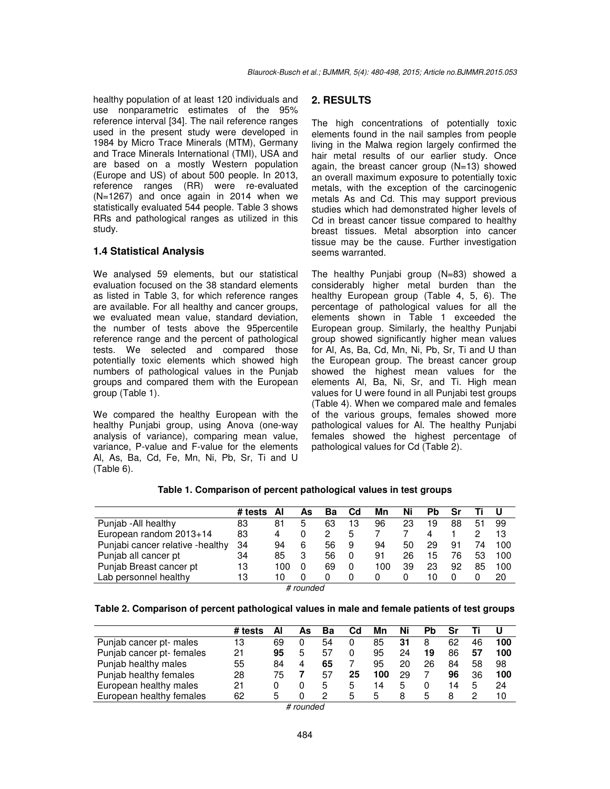healthy population of at least 120 individuals and use nonparametric estimates of the 95% reference interval [34]. The nail reference ranges used in the present study were developed in 1984 by Micro Trace Minerals (MTM), Germany and Trace Minerals International (TMI), USA and are based on a mostly Western population (Europe and US) of about 500 people. In 2013, reference ranges (RR) were re-evaluated (N=1267) and once again in 2014 when we statistically evaluated 544 people. Table 3 shows RRs and pathological ranges as utilized in this study.

#### **1.4 Statistical Analysis**

We analysed 59 elements, but our statistical evaluation focused on the 38 standard elements as listed in Table 3, for which reference ranges are available. For all healthy and cancer groups, we evaluated mean value, standard deviation, the number of tests above the 95percentile reference range and the percent of pathological tests. We selected and compared those potentially toxic elements which showed high numbers of pathological values in the Punjab groups and compared them with the European group (Table 1).

We compared the healthy European with the healthy Punjabi group, using Anova (one-way analysis of variance), comparing mean value, variance, P-value and F-value for the elements Al, As, Ba, Cd, Fe, Mn, Ni, Pb, Sr, Ti and U (Table 6).

#### **2. RESULTS**

The high concentrations of potentially toxic elements found in the nail samples from people living in the Malwa region largely confirmed the hair metal results of our earlier study. Once again, the breast cancer group (N=13) showed an overall maximum exposure to potentially toxic metals, with the exception of the carcinogenic metals As and Cd. This may support previous studies which had demonstrated higher levels of Cd in breast cancer tissue compared to healthy breast tissues. Metal absorption into cancer tissue may be the cause. Further investigation seems warranted.

The healthy Punjabi group (N=83) showed a considerably higher metal burden than the healthy European group (Table 4, 5, 6). The percentage of pathological values for all the elements shown in Table 1 exceeded the European group. Similarly, the healthy Punjabi group showed significantly higher mean values for Al, As, Ba, Cd, Mn, Ni, Pb, Sr, Ti and U than the European group. The breast cancer group showed the highest mean values for the elements Al, Ba, Ni, Sr, and Ti. High mean values for U were found in all Punjabi test groups (Table 4). When we compared male and females of the various groups, females showed more pathological values for Al. The healthy Punjabi females showed the highest percentage of pathological values for Cd (Table 2).

|  |  | Table 1. Comparison of percent pathological values in test groups |
|--|--|-------------------------------------------------------------------|
|  |  |                                                                   |

|                                  | # tests | ΑI  | As | Ba | Cd | Mn  | Ni | Pb | Sr |    |     |
|----------------------------------|---------|-----|----|----|----|-----|----|----|----|----|-----|
| Punjab - All healthy             | 83      | 81  | 5  | 63 | 13 | 96  | 23 | 19 | 88 | 51 | 99  |
| European random 2013+14          | 83      | 4   |    |    | 5  |     |    |    |    |    | 13  |
| Punjabi cancer relative -healthy | 34      | 94  | 6  | 56 | 9  | 94  | 50 | 29 | 91 | 74 | 100 |
| Punjab all cancer pt             | 34      | 85  | 3  | 56 |    | 91  | 26 | 15 | 76 | 53 | 100 |
| Punjab Breast cancer pt          | 13      | 100 |    | 69 | 0  | 100 | 39 | 23 | 92 | 85 | 100 |
| Lab personnel healthy            | 13      | 10  |    |    |    |     |    | 10 |    |    | 20  |

*# rounded* 

| Table 2. Comparison of percent pathological values in male and female patients of test groups |
|-----------------------------------------------------------------------------------------------|
|-----------------------------------------------------------------------------------------------|

|                           | # tests | Al | As | Ba | Cd           | Mn  | Ni |    |    |    |     |
|---------------------------|---------|----|----|----|--------------|-----|----|----|----|----|-----|
| Punjab cancer pt- males   | 13      | 69 |    | 54 |              | 85  | 31 |    | 62 | 46 | 100 |
| Punjab cancer pt- females | 21      | 95 | 5  | 57 |              | 95  | 24 | 19 | 86 | 57 | 100 |
| Punjab healthy males      | 55      | 84 |    | 65 |              | 95  | 20 | 26 | 84 | 58 | 98  |
| Punjab healthy females    | 28      | 75 |    | 57 | 25           | 100 | 29 |    | 96 | 36 | 100 |
| European healthy males    | 21      |    |    |    | b            | 14  | 5  |    | 14 | .5 | 24  |
| European healthy females  | 62      | 5  |    |    | $\mathbf{b}$ | 5   | 8  |    |    |    | 10  |

*# rounded*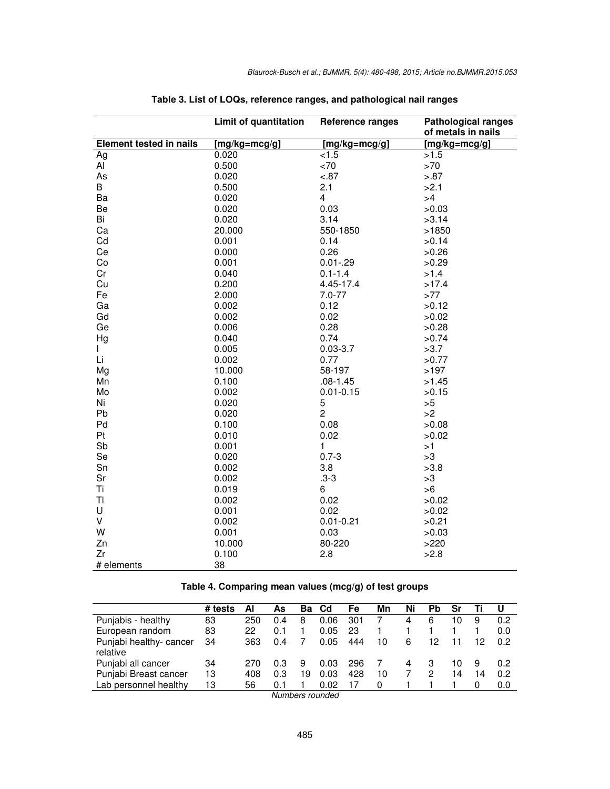|                                | Limit of quantitation             | <b>Reference ranges</b> | <b>Pathological ranges</b><br>of metals in nails |
|--------------------------------|-----------------------------------|-------------------------|--------------------------------------------------|
| <b>Element tested in nails</b> | $\overline{\text{[mg/kg=mcg/g]}}$ | $[mg/kg=mcg/g]$         | $[mg/kg=mcg/g]$                                  |
| Ag                             | 0.020                             | < 1.5                   | >1.5                                             |
| Al                             | 0.500                             | ~5                      | $>70$                                            |
| As                             | 0.020                             | $-.87$                  | > 0.87                                           |
| B                              | 0.500                             | 2.1                     | >2.1                                             |
| Ba                             | 0.020                             | $\overline{\mathbf{4}}$ | >4                                               |
| Be                             | 0.020                             | 0.03                    | >0.03                                            |
| Bi                             | 0.020                             | 3.14                    | >3.14                                            |
| Ca                             | 20.000                            | 550-1850                | >1850                                            |
| Cd                             | 0.001                             | 0.14                    | >0.14                                            |
| Ce                             | 0.000                             | 0.26                    | >0.26                                            |
| Co                             | 0.001                             | $0.01 - 29$             | >0.29                                            |
| Cr                             | 0.040                             | $0.1 - 1.4$             | >1.4                                             |
| Cu                             | 0.200                             | 4.45-17.4               | >17.4                                            |
| Fe                             | 2.000                             | $7.0 - 77$              | >77                                              |
| Ga                             | 0.002                             | 0.12                    | >0.12                                            |
| Gd                             | 0.002                             | 0.02                    | >0.02                                            |
| Ge                             | 0.006                             | 0.28                    | >0.28                                            |
| Hg                             | 0.040                             | 0.74                    | >0.74                                            |
| L                              | 0.005                             | $0.03 - 3.7$            | >3.7                                             |
| Li                             | 0.002                             | 0.77                    | >0.77                                            |
| Mg                             | 10.000                            | 58-197                  | >197                                             |
| Mn                             | 0.100                             | $.08 - 1.45$            | >1.45                                            |
| Mo                             | 0.002                             | $0.01 - 0.15$           | >0.15                                            |
| Ni                             | 0.020                             | 5                       | >5                                               |
| Pb                             | 0.020                             | $\overline{2}$          | >2                                               |
| Pd                             | 0.100                             | 0.08                    | >0.08                                            |
| Pt                             | 0.010                             | 0.02                    | >0.02                                            |
| Sb                             | 0.001                             | 1                       | >1                                               |
| Se                             | 0.020                             | $0.7 - 3$               | >3                                               |
| Sn                             | 0.002                             | 3.8                     | >3.8                                             |
| Sr                             | 0.002                             | $.3 - 3$                | >3                                               |
| Ti                             | 0.019                             | 6                       | >6                                               |
| TI                             | 0.002                             | 0.02                    | >0.02                                            |
| U                              | 0.001                             | 0.02                    | >0.02                                            |
| V                              | 0.002                             | $0.01 - 0.21$           | >0.21                                            |
| W                              | 0.001                             | 0.03                    | >0.03                                            |
| Zn                             | 10.000                            | 80-220                  | >220                                             |
| Zr                             | 0.100                             | 2.8                     | >2.8                                             |
| # elements                     | 38                                |                         |                                                  |

| Table 3. List of LOQs, reference ranges, and pathological nail ranges |  |
|-----------------------------------------------------------------------|--|
|                                                                       |  |

| Table 4. Comparing mean values (mcg/g) of test groups |
|-------------------------------------------------------|
|-------------------------------------------------------|

|                                     | # tests | Al  | As  | Bа | Cd   | Fe  | Mn | Ni | Рb | Sr |    |     |
|-------------------------------------|---------|-----|-----|----|------|-----|----|----|----|----|----|-----|
| Punjabis - healthy                  | 83      | 250 | 0.4 | 8  | 0.06 | 301 |    | 4  | 6  | 10 | 9  | 0.2 |
| European random                     | 83      | 22  | 0.1 |    | 0.05 | 23  |    |    |    |    |    | 0.0 |
| Punjabi healthy- cancer<br>relative | 34      | 363 | 0.4 |    | 0.05 | 444 | 10 | 6  | 12 |    | 12 | 0.2 |
| Punjabi all cancer                  | 34      | 270 | 0.3 | 9  | 0.03 | 296 |    |    |    | 10 | 9  | 0.2 |
| Punjabi Breast cancer               | 13      | 408 | 0.3 | 19 | 0.03 | 428 | 10 |    | 2  | 14 | 14 | 0.2 |
| Lab personnel healthy               | 13      | 56  | 0.1 |    | 0.02 |     | 0  |    |    |    |    | 0.0 |
|                                     |         |     |     |    |      |     |    |    |    |    |    |     |

*Numbers rounded*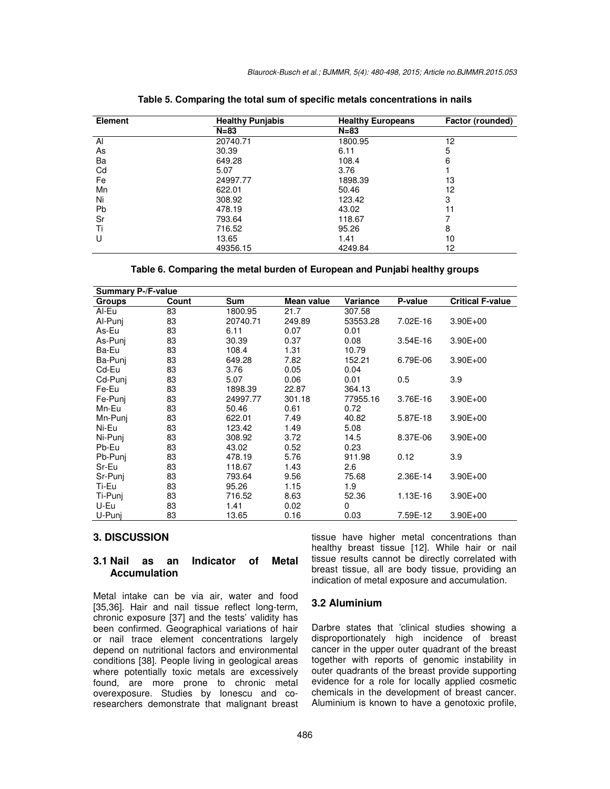| <b>Element</b> | <b>Healthy Punjabis</b> | <b>Healthy Europeans</b> | Factor (rounded) |  |  |
|----------------|-------------------------|--------------------------|------------------|--|--|
|                | $N = 83$                | $N = 83$                 |                  |  |  |
| AI             | 20740.71                | 1800.95                  | 12               |  |  |
| As             | 30.39                   | 6.11                     | 5                |  |  |
| Ba             | 649.28                  | 108.4                    | 6                |  |  |
| Cd             | 5.07                    | 3.76                     |                  |  |  |
| Fe             | 24997.77                | 1898.39                  | 13               |  |  |
| Mn             | 622.01                  | 50.46                    | 12               |  |  |
| Ni             | 308.92                  | 123.42                   | 3                |  |  |
| Pb             | 478.19                  | 43.02                    | 11               |  |  |
| Sr             | 793.64                  | 118.67                   |                  |  |  |
| Τi             | 716.52                  | 95.26                    | 8                |  |  |
|                | 13.65                   | 1.41                     | 10               |  |  |
|                | 49356.15                | 4249.84                  | 12               |  |  |

**Table 5. Comparing the total sum of specific metals concentrations in nails** 

**Table 6. Comparing the metal burden of European and Punjabi healthy groups** 

| <b>Summary P-/F-value</b> |       |            |            |          |              |                         |  |  |  |  |
|---------------------------|-------|------------|------------|----------|--------------|-------------------------|--|--|--|--|
| <b>Groups</b>             | Count | <b>Sum</b> | Mean value | Variance | P-value      | <b>Critical F-value</b> |  |  |  |  |
| Al-Eu                     | 83    | 1800.95    | 21.7       | 307.58   |              |                         |  |  |  |  |
| Al-Punj                   | 83    | 20740.71   | 249.89     | 53553.28 | 7.02E-16     | $3.90E + 00$            |  |  |  |  |
| As-Eu                     | 83    | 6.11       | 0.07       | 0.01     |              |                         |  |  |  |  |
| As-Puni                   | 83    | 30.39      | 0.37       | 0.08     | $3.54E - 16$ | $3.90E + 00$            |  |  |  |  |
| Ba-Eu                     | 83    | 108.4      | 1.31       | 10.79    |              |                         |  |  |  |  |
| Ba-Puni                   | 83    | 649.28     | 7.82       | 152.21   | 6.79E-06     | $3.90E + 00$            |  |  |  |  |
| Cd-Eu                     | 83    | 3.76       | 0.05       | 0.04     |              |                         |  |  |  |  |
| Cd-Puni                   | 83    | 5.07       | 0.06       | 0.01     | 0.5          | 3.9                     |  |  |  |  |
| Fe-Eu                     | 83    | 1898.39    | 22.87      | 364.13   |              |                         |  |  |  |  |
| Fe-Puni                   | 83    | 24997.77   | 301.18     | 77955.16 | 3.76E-16     | $3.90E + 00$            |  |  |  |  |
| Mn-Eu                     | 83    | 50.46      | 0.61       | 0.72     |              |                         |  |  |  |  |
| Mn-Punj                   | 83    | 622.01     | 7.49       | 40.82    | 5.87E-18     | $3.90E + 00$            |  |  |  |  |
| Ni-Eu                     | 83    | 123.42     | 1.49       | 5.08     |              |                         |  |  |  |  |
| Ni-Puni                   | 83    | 308.92     | 3.72       | 14.5     | 8.37E-06     | $3.90E + 00$            |  |  |  |  |
| Pb-Eu                     | 83    | 43.02      | 0.52       | 0.23     |              |                         |  |  |  |  |
| Pb-Punj                   | 83    | 478.19     | 5.76       | 911.98   | 0.12         | 3.9                     |  |  |  |  |
| Sr-Eu                     | 83    | 118.67     | 1.43       | 2.6      |              |                         |  |  |  |  |
| Sr-Punj                   | 83    | 793.64     | 9.56       | 75.68    | 2.36E-14     | $3.90E + 00$            |  |  |  |  |
| Ti-Eu                     | 83    | 95.26      | 1.15       | 1.9      |              |                         |  |  |  |  |
| Ti-Punj                   | 83    | 716.52     | 8.63       | 52.36    | 1.13E-16     | $3.90E + 00$            |  |  |  |  |
| U-Eu                      | 83    | 1.41       | 0.02       | 0        |              |                         |  |  |  |  |
| U-Puni                    | 83    | 13.65      | 0.16       | 0.03     | 7.59E-12     | $3.90E + 00$            |  |  |  |  |

## **3. DISCUSSION**

#### **3.1 Nail as an Indicator of Metal Accumulation**

Metal intake can be via air, water and food [35,36]. Hair and nail tissue reflect long-term, chronic exposure [37] and the tests' validity has been confirmed. Geographical variations of hair or nail trace element concentrations largely depend on nutritional factors and environmental conditions [38]. People living in geological areas where potentially toxic metals are excessively found, are more prone to chronic metal overexposure. Studies by Ionescu and coresearchers demonstrate that malignant breast

tissue have higher metal concentrations than healthy breast tissue [12]. While hair or nail tissue results cannot be directly correlated with breast tissue, all are body tissue, providing an indication of metal exposure and accumulation.

## **3.2 Aluminium**

Darbre states that 'clinical studies showing a disproportionately high incidence of breast cancer in the upper outer quadrant of the breast together with reports of genomic instability in outer quadrants of the breast provide supporting evidence for a role for locally applied cosmetic chemicals in the development of breast cancer. Aluminium is known to have a genotoxic profile,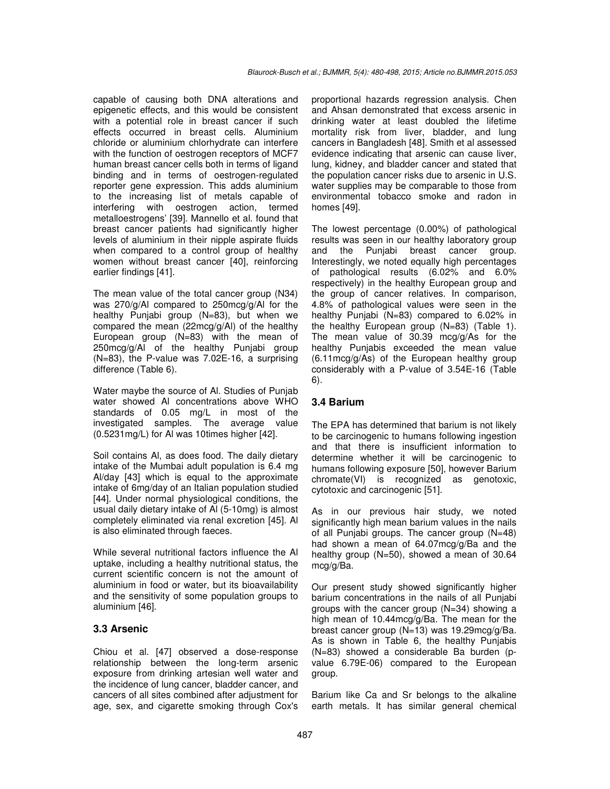capable of causing both DNA alterations and epigenetic effects, and this would be consistent with a potential role in breast cancer if such effects occurred in breast cells. Aluminium chloride or aluminium chlorhydrate can interfere with the function of oestrogen receptors of MCF7 human breast cancer cells both in terms of ligand binding and in terms of oestrogen-regulated reporter gene expression. This adds aluminium to the increasing list of metals capable of interfering with oestrogen action, termed metalloestrogens' [39]. Mannello et al. found that breast cancer patients had significantly higher levels of aluminium in their nipple aspirate fluids when compared to a control group of healthy women without breast cancer [40], reinforcing earlier findings [41].

The mean value of the total cancer group (N34) was 270/g/Al compared to 250mcg/g/Al for the healthy Punjabi group (N=83), but when we compared the mean (22mcg/g/Al) of the healthy European group (N=83) with the mean of 250mcg/g/Al of the healthy Punjabi group (N=83), the P-value was 7.02E-16, a surprising difference (Table 6).

Water maybe the source of Al. Studies of Punjab water showed Al concentrations above WHO standards of 0.05 mg/L in most of the investigated samples. The average value (0.5231mg/L) for Al was 10times higher [42].

Soil contains Al, as does food. The daily dietary intake of the Mumbai adult population is 6.4 mg Al/day [43] which is equal to the approximate intake of 6mg/day of an Italian population studied [44]. Under normal physiological conditions, the usual daily dietary intake of Al (5-10mg) is almost completely eliminated via renal excretion [45]. Al is also eliminated through faeces.

While several nutritional factors influence the Al uptake, including a healthy nutritional status, the current scientific concern is not the amount of aluminium in food or water, but its bioavailability and the sensitivity of some population groups to aluminium [46].

## **3.3 Arsenic**

Chiou et al. [47] observed a dose-response relationship between the long-term arsenic exposure from drinking artesian well water and the incidence of lung cancer, bladder cancer, and cancers of all sites combined after adjustment for age, sex, and cigarette smoking through Cox's proportional hazards regression analysis. Chen and Ahsan demonstrated that excess arsenic in drinking water at least doubled the lifetime mortality risk from liver, bladder, and lung cancers in Bangladesh [48]. Smith et al assessed evidence indicating that arsenic can cause liver, lung, kidney, and bladder cancer and stated that the population cancer risks due to arsenic in U.S. water supplies may be comparable to those from environmental tobacco smoke and radon in homes [49].

The lowest percentage (0.00%) of pathological results was seen in our healthy laboratory group and the Punjabi breast cancer group. Interestingly, we noted equally high percentages of pathological results (6.02% and 6.0% respectively) in the healthy European group and the group of cancer relatives. In comparison, 4.8% of pathological values were seen in the healthy Punjabi (N=83) compared to 6.02% in the healthy European group (N=83) (Table 1). The mean value of 30.39 mcg/g/As for the healthy Punjabis exceeded the mean value (6.11mcg/g/As) of the European healthy group considerably with a P-value of 3.54E-16 (Table 6).

# **3.4 Barium**

The EPA has determined that barium is not likely to be carcinogenic to humans following ingestion and that there is insufficient information to determine whether it will be carcinogenic to humans following exposure [50], however Barium chromate(VI) is recognized as genotoxic, cytotoxic and carcinogenic [51].

As in our previous hair study, we noted significantly high mean barium values in the nails of all Punjabi groups. The cancer group (N=48) had shown a mean of 64.07mcg/g/Ba and the healthy group (N=50), showed a mean of 30.64 mcg/g/Ba.

Our present study showed significantly higher barium concentrations in the nails of all Punjabi groups with the cancer group (N=34) showing a high mean of 10.44mcg/g/Ba. The mean for the breast cancer group (N=13) was 19.29mcg/g/Ba. As is shown in Table 6, the healthy Punjabis (N=83) showed a considerable Ba burden (pvalue 6.79E-06) compared to the European group.

Barium like Ca and Sr belongs to the alkaline earth metals. It has similar general chemical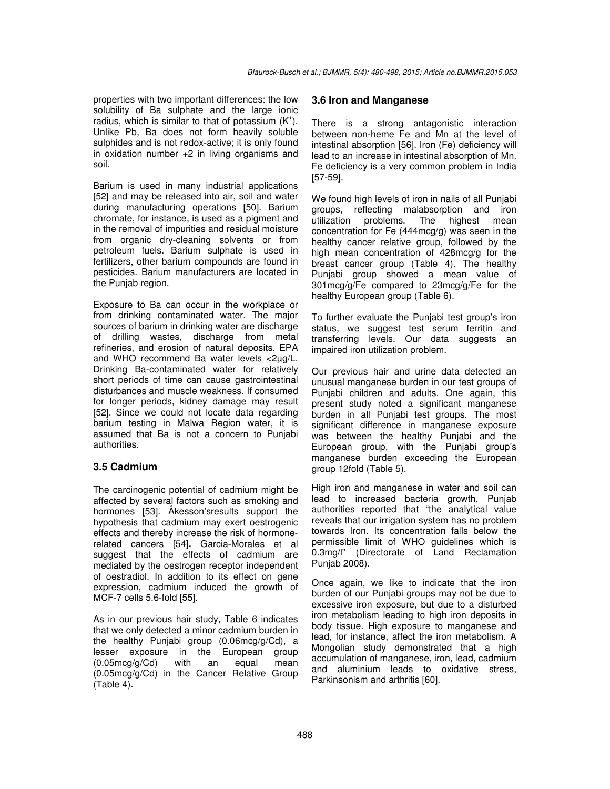properties with two important differences: the low solubility of Ba sulphate and the large ionic radius, which is similar to that of potassium  $(K^+)$ . Unlike Pb, Ba does not form heavily soluble sulphides and is not redox-active; it is only found in oxidation number +2 in living organisms and soil.

Barium is used in many industrial applications [52] and may be released into air, soil and water during manufacturing operations [50]. Barium chromate, for instance, is used as a pigment and in the removal of impurities and residual moisture from organic dry-cleaning solvents or from petroleum fuels. Barium sulphate is used in fertilizers, other barium compounds are found in pesticides. Barium manufacturers are located in the Punjab region.

Exposure to Ba can occur in the workplace or from drinking contaminated water. The major sources of barium in drinking water are discharge of drilling wastes, discharge from metal refineries, and erosion of natural deposits. EPA and WHO recommend Ba water levels <2µg/L. Drinking Ba-contaminated water for relatively short periods of time can cause gastrointestinal disturbances and muscle weakness. If consumed for longer periods, kidney damage may result [52]. Since we could not locate data regarding barium testing in Malwa Region water, it is assumed that Ba is not a concern to Punjabi authorities.

# **3.5 Cadmium**

The carcinogenic potential of cadmium might be affected by several factors such as smoking and hormones [53]. Åkesson'sresults support the hypothesis that cadmium may exert oestrogenic effects and thereby increase the risk of hormonerelated cancers [54]**.** Garcia-Morales et al suggest that the effects of cadmium are mediated by the oestrogen receptor independent of oestradiol. In addition to its effect on gene expression, cadmium induced the growth of MCF-7 cells 5.6-fold [55].

As in our previous hair study, Table 6 indicates that we only detected a minor cadmium burden in the healthy Punjabi group (0.06mcg/g/Cd), a lesser exposure in the European group (0.05mcg/g/Cd) with an equal mean (0.05mcg/g/Cd) in the Cancer Relative Group (Table 4).

#### **3.6 Iron and Manganese**

There is a strong antagonistic interaction between non-heme Fe and Mn at the level of intestinal absorption [56]. Iron (Fe) deficiency will lead to an increase in intestinal absorption of Mn. Fe deficiency is a very common problem in India [57-59].

We found high levels of iron in nails of all Punjabi groups, reflecting malabsorption and iron utilization problems. The highest mean concentration for Fe (444mcg/g) was seen in the healthy cancer relative group, followed by the high mean concentration of 428mcg/g for the breast cancer group (Table 4). The healthy Punjabi group showed a mean value of 301mcg/g/Fe compared to 23mcg/g/Fe for the healthy European group (Table 6).

To further evaluate the Punjabi test group's iron status, we suggest test serum ferritin and transferring levels. Our data suggests an impaired iron utilization problem.

Our previous hair and urine data detected an unusual manganese burden in our test groups of Punjabi children and adults. One again, this present study noted a significant manganese burden in all Punjabi test groups. The most significant difference in manganese exposure was between the healthy Punjabi and the European group, with the Punjabi group's manganese burden exceeding the European group 12fold (Table 5).

High iron and manganese in water and soil can lead to increased bacteria growth. Punjab authorities reported that "the analytical value reveals that our irrigation system has no problem towards Iron. Its concentration falls below the permissible limit of WHO guidelines which is 0.3mg/l" (Directorate of Land Reclamation Punjab 2008).

Once again, we like to indicate that the iron burden of our Punjabi groups may not be due to excessive iron exposure, but due to a disturbed iron metabolism leading to high iron deposits in body tissue. High exposure to manganese and lead, for instance, affect the iron metabolism. A Mongolian study demonstrated that a high accumulation of manganese, iron, lead, cadmium and aluminium leads to oxidative stress, Parkinsonism and arthritis [60].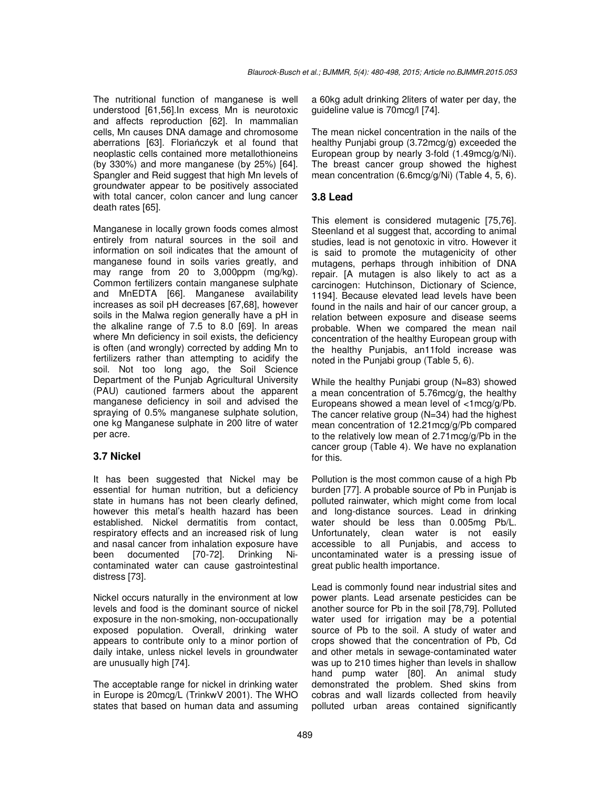The nutritional function of manganese is well understood [61,56]. In excess Mn is neurotoxic and affects reproduction [62]. In mammalian cells, Mn causes DNA damage and chromosome aberrations [63]. Floriańczyk et al found that neoplastic cells contained more metallothioneins (by 330%) and more manganese (by 25%) [64]. Spangler and Reid suggest that high Mn levels of groundwater appear to be positively associated with total cancer, colon cancer and lung cancer death rates [65].

Manganese in locally grown foods comes almost entirely from natural sources in the soil and information on soil indicates that the amount of manganese found in soils varies greatly, and may range from 20 to 3,000ppm (mg/kg). Common fertilizers contain manganese sulphate and MnEDTA [66]. Manganese availability increases as soil pH decreases [67,68], however soils in the Malwa region generally have a pH in the alkaline range of 7.5 to 8.0 [69]. In areas where Mn deficiency in soil exists, the deficiency is often (and wrongly) corrected by adding Mn to fertilizers rather than attempting to acidify the soil. Not too long ago, the Soil Science Department of the Punjab Agricultural University (PAU) cautioned farmers about the apparent manganese deficiency in soil and advised the spraying of 0.5% manganese sulphate solution, one kg Manganese sulphate in 200 litre of water per acre.

# **3.7 Nickel**

It has been suggested that Nickel may be essential for human nutrition, but a deficiency state in humans has not been clearly defined, however this metal's health hazard has been established. Nickel dermatitis from contact, respiratory effects and an increased risk of lung and nasal cancer from inhalation exposure have been documented [70-72]. Drinking Nicontaminated water can cause gastrointestinal distress [73].

Nickel occurs naturally in the environment at low levels and food is the dominant source of nickel exposure in the non-smoking, non-occupationally exposed population. Overall, drinking water appears to contribute only to a minor portion of daily intake, unless nickel levels in groundwater are unusually high [74].

The acceptable range for nickel in drinking water in Europe is 20mcg/L (TrinkwV 2001). The WHO states that based on human data and assuming a 60kg adult drinking 2liters of water per day, the guideline value is 70mcg/l [74].

The mean nickel concentration in the nails of the healthy Punjabi group (3.72mcg/g) exceeded the European group by nearly 3-fold (1.49mcg/g/Ni). The breast cancer group showed the highest mean concentration (6.6mcg/g/Ni) (Table 4, 5, 6).

## **3.8 Lead**

This element is considered mutagenic [75,76]. Steenland et al suggest that, according to animal studies, lead is not genotoxic in vitro. However it is said to promote the mutagenicity of other mutagens, perhaps through inhibition of DNA repair. [A mutagen is also likely to act as a carcinogen: Hutchinson, Dictionary of Science, 1194]. Because elevated lead levels have been found in the nails and hair of our cancer group, a relation between exposure and disease seems probable. When we compared the mean nail concentration of the healthy European group with the healthy Punjabis, an11fold increase was noted in the Punjabi group (Table 5, 6).

While the healthy Punjabi group (N=83) showed a mean concentration of 5.76mcg/g, the healthy Europeans showed a mean level of <1mcg/g/Pb. The cancer relative group (N=34) had the highest mean concentration of 12.21mcg/g/Pb compared to the relatively low mean of 2.71mcg/g/Pb in the cancer group (Table 4). We have no explanation for this.

Pollution is the most common cause of a high Pb burden [77]. A probable source of Pb in Punjab is polluted rainwater, which might come from local and long-distance sources. Lead in drinking water should be less than 0.005mg Pb/L. Unfortunately, clean water is not easily accessible to all Punjabis, and access to uncontaminated water is a pressing issue of great public health importance.

Lead is commonly found near industrial sites and power plants. Lead arsenate pesticides can be another source for Pb in the soil [78,79]. Polluted water used for irrigation may be a potential source of Pb to the soil. A study of water and crops showed that the concentration of Pb, Cd and other metals in sewage-contaminated water was up to 210 times higher than levels in shallow hand pump water [80]. An animal study demonstrated the problem. Shed skins from cobras and wall lizards collected from heavily polluted urban areas contained significantly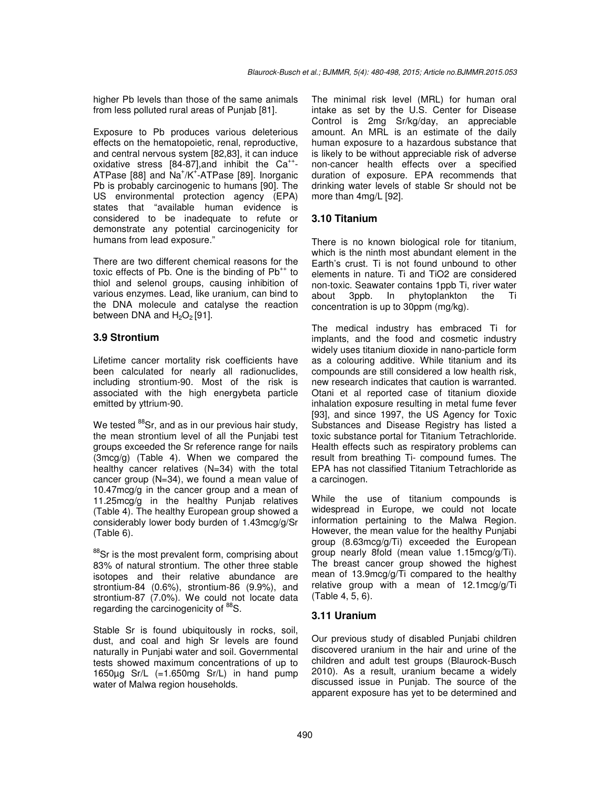higher Pb levels than those of the same animals from less polluted rural areas of Punjab [81].

Exposure to Pb produces various deleterious effects on the hematopoietic, renal, reproductive, and central nervous system [82,83], it can induce oxidative stress  $[84-87]$ , and inhibit the Ca<sup>++</sup>-ATPase [88] and Na<sup>+</sup>/K<sup>+</sup>-ATPase [89]. Inorganic Pb is probably carcinogenic to humans [90]. The US environmental protection agency (EPA) states that "available human evidence is considered to be inadequate to refute or demonstrate any potential carcinogenicity for humans from lead exposure."

There are two different chemical reasons for the toxic effects of Pb. One is the binding of  $Pb^{++}$  to thiol and selenol groups, causing inhibition of various enzymes. Lead, like uranium, can bind to the DNA molecule and catalyse the reaction between DNA and  $H_2O_2$  [91].

#### **3.9 Strontium**

Lifetime cancer mortality risk coefficients have been calculated for nearly all radionuclides, including strontium-90*.* Most of the risk is associated with the high energybeta particle emitted by yttrium-90.

We tested <sup>88</sup>Sr, and as in our previous hair study, the mean strontium level of all the Punjabi test groups exceeded the Sr reference range for nails (3mcg/g) (Table 4). When we compared the healthy cancer relatives (N=34) with the total cancer group (N=34), we found a mean value of 10.47mcg/g in the cancer group and a mean of 11.25mcg/g in the healthy Punjab relatives (Table 4). The healthy European group showed a considerably lower body burden of 1.43mcg/g/Sr (Table 6).

<sup>88</sup>Sr is the most prevalent form, comprising about 83% of natural strontium. The other three stable isotopes and their relative abundance are strontium-84 (0.6%), strontium-86 (9.9%), and strontium-87 (7.0%). We could not locate data regarding the carcinogenicity of <sup>88</sup>S.

Stable Sr is found ubiquitously in rocks, soil, dust, and coal and high Sr levels are found naturally in Punjabi water and soil. Governmental tests showed maximum concentrations of up to 1650 $\mu$ g Sr/L (=1.650 $mg$  Sr/L) in hand pump water of Malwa region households.

The minimal risk level (MRL) for human oral intake as set by the U.S. Center for Disease Control is 2mg Sr/kg/day, an appreciable amount. An MRL is an estimate of the daily human exposure to a hazardous substance that is likely to be without appreciable risk of adverse non-cancer health effects over a specified duration of exposure. EPA recommends that drinking water levels of stable Sr should not be more than 4mg/L [92].

## **3.10 Titanium**

There is no known biological role for titanium, which is the ninth most abundant element in the Earth's crust. Ti is not found unbound to other elements in nature. Ti and TiO2 are considered non-toxic. Seawater contains 1ppb Ti, river water about 3ppb. In phytoplankton the Ti concentration is up to 30ppm (mg/kg).

The medical industry has embraced Ti for implants, and the food and cosmetic industry widely uses titanium dioxide in nano-particle form as a colouring additive. While titanium and its compounds are still considered a low health risk, new research indicates that caution is warranted. Otani et al reported case of titanium dioxide inhalation exposure resulting in metal fume fever [93], and since 1997, the US Agency for Toxic Substances and Disease Registry has listed a toxic substance portal for Titanium Tetrachloride. Health effects such as respiratory problems can result from breathing Ti- compound fumes. The EPA has not classified Titanium Tetrachloride as a carcinogen.

While the use of titanium compounds is widespread in Europe, we could not locate information pertaining to the Malwa Region. However, the mean value for the healthy Punjabi group (8.63mcg/g/Ti) exceeded the European group nearly 8fold (mean value 1.15mcg/g/Ti). The breast cancer group showed the highest mean of 13.9mcg/g/Ti compared to the healthy relative group with a mean of 12.1mcg/g/Ti (Table 4, 5, 6).

#### **3.11 Uranium**

Our previous study of disabled Punjabi children discovered uranium in the hair and urine of the children and adult test groups (Blaurock-Busch 2010). As a result, uranium became a widely discussed issue in Punjab. The source of the apparent exposure has yet to be determined and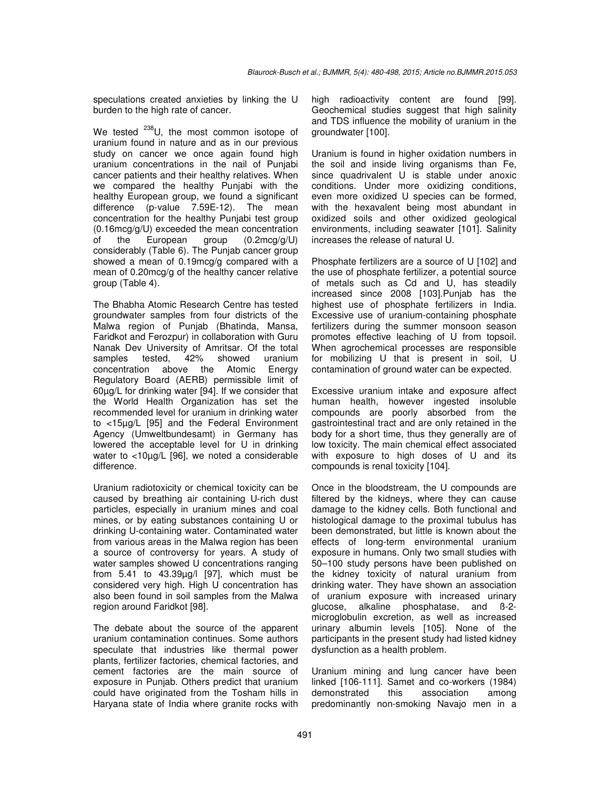speculations created anxieties by linking the U burden to the high rate of cancer.

We tested <sup>238</sup>U, the most common isotope of uranium found in nature and as in our previous study on cancer we once again found high uranium concentrations in the nail of Punjabi cancer patients and their healthy relatives. When we compared the healthy Punjabi with the healthy European group, we found a significant difference (p-value 7.59E-12). The mean concentration for the healthy Punjabi test group (0.16mcg/g/U) exceeded the mean concentration of the European group (0.2mcg/g/U) considerably (Table 6). The Punjab cancer group showed a mean of 0.19mcg/g compared with a mean of 0.20mcg/g of the healthy cancer relative group (Table 4).

The Bhabha Atomic Research Centre has tested groundwater samples from four districts of the Malwa region of Punjab (Bhatinda, Mansa, Faridkot and Ferozpur) in collaboration with Guru Nanak Dev University of Amritsar. Of the total<br>samples tested. 42% showed uranium samples tested, 42% showed uranium concentration above the Atomic Energy Regulatory Board (AERB) permissible limit of 60µg/L for drinking water [94]. If we consider that the World Health Organization has set the recommended level for uranium in drinking water to <15µg/L [95] and the Federal Environment Agency (Umweltbundesamt) in Germany has lowered the acceptable level for U in drinking water to <10µg/L [96], we noted a considerable difference.

Uranium radiotoxicity or chemical toxicity can be caused by breathing air containing U-rich dust particles, especially in uranium mines and coal mines, or by eating substances containing U or drinking U-containing water. Contaminated water from various areas in the Malwa region has been a source of controversy for years. A study of water samples showed U concentrations ranging from 5.41 to 43.39µg/l [97], which must be considered very high. High U concentration has also been found in soil samples from the Malwa region around Faridkot [98].

The debate about the source of the apparent uranium contamination continues. Some authors speculate that industries like thermal power plants, fertilizer factories, chemical factories, and cement factories are the main source of exposure in Punjab. Others predict that uranium could have originated from the Tosham hills in Haryana state of India where granite rocks with

high radioactivity content are found [99]. Geochemical studies suggest that high salinity and TDS influence the mobility of uranium in the groundwater [100].

Uranium is found in higher oxidation numbers in the soil and inside living organisms than Fe, since quadrivalent U is stable under anoxic conditions. Under more oxidizing conditions, even more oxidized U species can be formed, with the hexavalent being most abundant in oxidized soils and other oxidized geological environments, including seawater [101]. Salinity increases the release of natural U.

Phosphate fertilizers are a source of U [102] and the use of phosphate fertilizer, a potential source of metals such as Cd and U, has steadily increased since 2008 [103].Punjab has the highest use of phosphate fertilizers in India. Excessive use of uranium-containing phosphate fertilizers during the summer monsoon season promotes effective leaching of U from topsoil. When agrochemical processes are responsible for mobilizing U that is present in soil, U contamination of ground water can be expected.

Excessive uranium intake and exposure affect human health, however ingested insoluble compounds are poorly absorbed from the gastrointestinal tract and are only retained in the body for a short time, thus they generally are of low toxicity. The main chemical effect associated with exposure to high doses of U and its compounds is renal toxicity [104].

Once in the bloodstream, the U compounds are filtered by the kidneys, where they can cause damage to the kidney cells. Both functional and histological damage to the proximal tubulus has been demonstrated, but little is known about the effects of long-term environmental uranium exposure in humans. Only two small studies with 50–100 study persons have been published on the kidney toxicity of natural uranium from drinking water. They have shown an association of uranium exposure with increased urinary glucose, alkaline phosphatase, and ß-2 microglobulin excretion, as well as increased urinary albumin levels [105]. None of the participants in the present study had listed kidney dysfunction as a health problem.

Uranium mining and lung cancer have been linked [106-111]. Samet and co-workers (1984) demonstrated this association among predominantly non-smoking Navajo men in a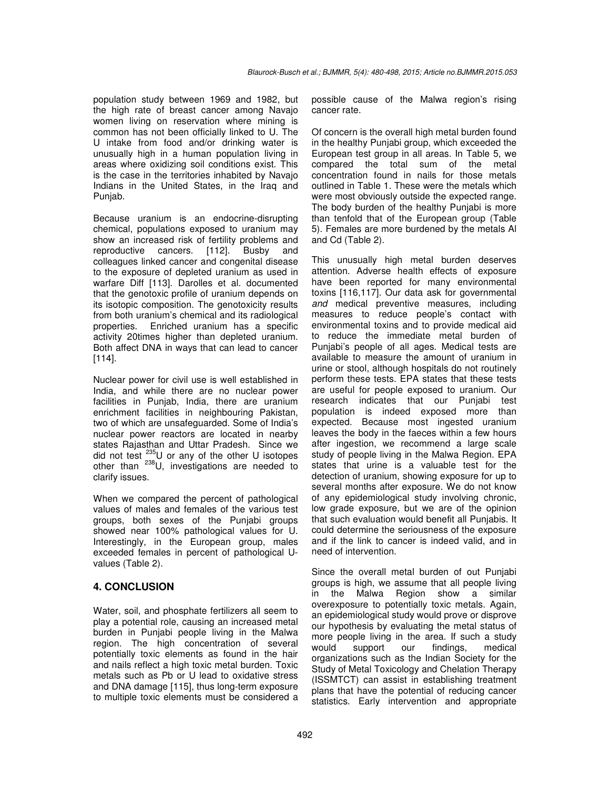population study between 1969 and 1982, but the high rate of breast cancer among Navajo women living on reservation where mining is common has not been officially linked to U. The U intake from food and/or drinking water is unusually high in a human population living in areas where oxidizing soil conditions exist. This is the case in the territories inhabited by Navajo Indians in the United States, in the Iraq and Punjab.

Because uranium is an endocrine-disrupting chemical, populations exposed to uranium may show an increased risk of fertility problems and reproductive cancers. [112]. Busby and colleagues linked cancer and congenital disease to the exposure of depleted uranium as used in warfare Diff [113]. Darolles et al. documented that the genotoxic profile of uranium depends on its isotopic composition. The genotoxicity results from both uranium's chemical and its radiological properties. Enriched uranium has a specific activity 20times higher than depleted uranium. Both affect DNA in ways that can lead to cancer [114].

Nuclear power for civil use is well established in India, and while there are no nuclear power facilities in Punjab, India, there are uranium enrichment facilities in neighbouring Pakistan, two of which are unsafeguarded. Some of India's nuclear power reactors are located in nearby states Rajasthan and Uttar Pradesh. Since we did not test  $^{235}$ U or any of the other U isotopes other than <sup>238</sup>U, investigations are needed to clarify issues.

When we compared the percent of pathological values of males and females of the various test groups, both sexes of the Punjabi groups showed near 100% pathological values for U. Interestingly, in the European group, males exceeded females in percent of pathological Uvalues (Table 2).

## **4. CONCLUSION**

Water, soil, and phosphate fertilizers all seem to play a potential role, causing an increased metal burden in Punjabi people living in the Malwa region. The high concentration of several potentially toxic elements as found in the hair and nails reflect a high toxic metal burden. Toxic metals such as Pb or U lead to oxidative stress and DNA damage [115], thus long-term exposure to multiple toxic elements must be considered a possible cause of the Malwa region's rising cancer rate.

Of concern is the overall high metal burden found in the healthy Punjabi group, which exceeded the European test group in all areas. In Table 5, we compared the total sum of the metal concentration found in nails for those metals outlined in Table 1. These were the metals which were most obviously outside the expected range. The body burden of the healthy Punjabi is more than tenfold that of the European group (Table 5). Females are more burdened by the metals Al and Cd (Table 2).

This unusually high metal burden deserves attention. Adverse health effects of exposure have been reported for many environmental toxins [116,117]. Our data ask for governmental *and* medical preventive measures, including measures to reduce people's contact with environmental toxins and to provide medical aid to reduce the immediate metal burden of Punjabi's people of all ages. Medical tests are available to measure the amount of uranium in urine or stool, although hospitals do not routinely perform these tests. EPA states that these tests are useful for people exposed to uranium. Our research indicates that our Punjabi test population is indeed exposed more than expected. Because most ingested uranium leaves the body in the faeces within a few hours after ingestion, we recommend a large scale study of people living in the Malwa Region. EPA states that urine is a valuable test for the detection of uranium, showing exposure for up to several months after exposure. We do not know of any epidemiological study involving chronic, low grade exposure, but we are of the opinion that such evaluation would benefit all Punjabis. It could determine the seriousness of the exposure and if the link to cancer is indeed valid, and in need of intervention.

Since the overall metal burden of out Punjabi groups is high, we assume that all people living in the Malwa Region show a similar overexposure to potentially toxic metals. Again, an epidemiological study would prove or disprove our hypothesis by evaluating the metal status of more people living in the area. If such a study would support our findings, medical organizations such as the Indian Society for the Study of Metal Toxicology and Chelation Therapy (ISSMTCT) can assist in establishing treatment plans that have the potential of reducing cancer statistics. Early intervention and appropriate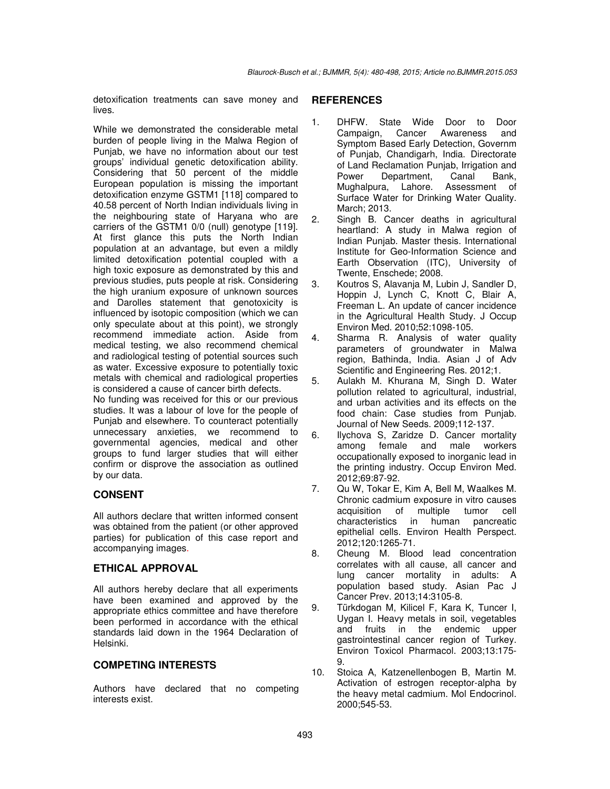detoxification treatments can save money and lives.

While we demonstrated the considerable metal burden of people living in the Malwa Region of Punjab, we have no information about our test groups' individual genetic detoxification ability. Considering that 50 percent of the middle European population is missing the important detoxification enzyme GSTM1 [118] compared to 40.58 percent of North Indian individuals living in the neighbouring state of Haryana who are carriers of the GSTM1 0/0 (null) genotype [119]. At first glance this puts the North Indian population at an advantage, but even a mildly limited detoxification potential coupled with a high toxic exposure as demonstrated by this and previous studies, puts people at risk. Considering the high uranium exposure of unknown sources and Darolles statement that genotoxicity is influenced by isotopic composition (which we can only speculate about at this point), we strongly recommend immediate action. Aside from medical testing, we also recommend chemical and radiological testing of potential sources such as water. Excessive exposure to potentially toxic metals with chemical and radiological properties is considered a cause of cancer birth defects.

No funding was received for this or our previous studies. It was a labour of love for the people of Punjab and elsewhere. To counteract potentially unnecessary anxieties, we recommend to governmental agencies, medical and other groups to fund larger studies that will either confirm or disprove the association as outlined by our data.

# **CONSENT**

All authors declare that written informed consent was obtained from the patient (or other approved parties) for publication of this case report and accompanying images.

# **ETHICAL APPROVAL**

All authors hereby declare that all experiments have been examined and approved by the appropriate ethics committee and have therefore been performed in accordance with the ethical standards laid down in the 1964 Declaration of Helsinki.

# **COMPETING INTERESTS**

Authors have declared that no competing interests exist.

## **REFERENCES**

- 1. DHFW. State Wide Door to Door Campaign, Cancer Awareness and Symptom Based Early Detection, Governm of Punjab, Chandigarh, India. Directorate of Land Reclamation Punjab, Irrigation and Power Department, Canal Bank, Mughalpura, Lahore. Assessment of Surface Water for Drinking Water Quality. March; 2013.
- 2. Singh B. Cancer deaths in agricultural heartland: A study in Malwa region of Indian Punjab. Master thesis. International Institute for Geo-Information Science and Earth Observation (ITC), University of Twente, Enschede; 2008.
- 3. Koutros S, Alavanja M, Lubin J, Sandler D, Hoppin J, Lynch C, Knott C, Blair A, Freeman L. An update of cancer incidence in the Agricultural Health Study. J Occup Environ Med. 2010;52:1098-105.
- 4. Sharma R. Analysis of water quality parameters of groundwater in Malwa region, Bathinda, India. Asian J of Adv Scientific and Engineering Res. 2012;1.
- 5. Aulakh M. Khurana M, Singh D. Water pollution related to agricultural, industrial, and urban activities and its effects on the food chain: Case studies from Punjab. Journal of New Seeds. 2009;112-137.
- 6. Ilychova S, Zaridze D. Cancer mortality among female and male workers occupationally exposed to inorganic lead in the printing industry. Occup Environ Med. 2012;69:87-92.
- 7. Qu W, Tokar E, Kim A, Bell M, Waalkes M. Chronic cadmium exposure in vitro causes acquisition of multiple tumor cell characteristics in human pancreatic epithelial cells. Environ Health Perspect. 2012;120:1265-71.
- 8. Cheung M. Blood lead concentration correlates with all cause, all cancer and lung cancer mortality in adults: A population based study. Asian Pac J Cancer Prev. 2013;14:3105-8.
- 9. Türkdogan M, Kilicel F, Kara K, Tuncer I, Uygan I. Heavy metals in soil, vegetables and fruits in the endemic upper gastrointestinal cancer region of Turkey. Environ Toxicol Pharmacol. 2003;13:175- 9.
- 10. Stoica A, Katzenellenbogen B, Martin M. Activation of estrogen receptor-alpha by the heavy metal cadmium. Mol Endocrinol. 2000;545-53.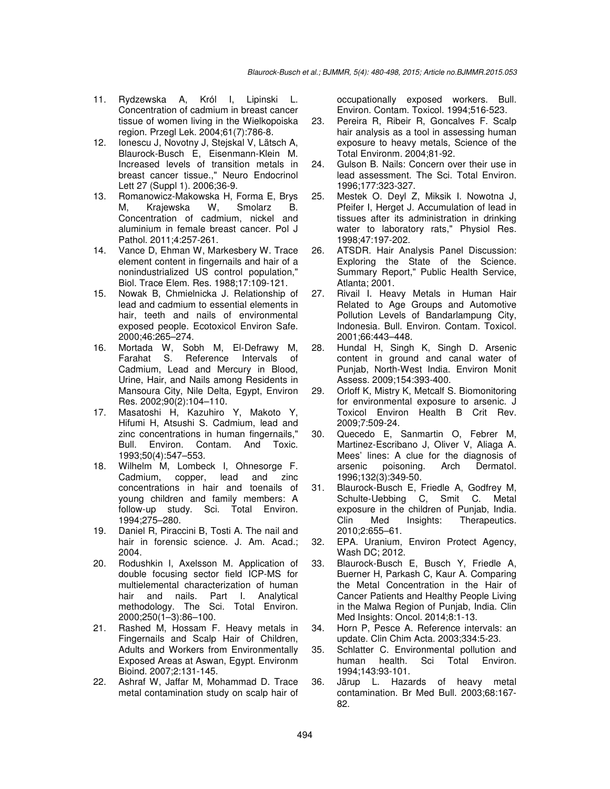- 11. Rydzewska A, Król I, Lipinski L. Concentration of cadmium in breast cancer tissue of women living in the Wielkopoiska region. Przegl Lek. 2004;61(7):786-8.
- 12. Ionescu J, Novotny J, Stejskal V, Lätsch A, Blaurock-Busch E, Eisenmann-Klein M. Increased levels of transition metals in breast cancer tissue.," Neuro Endocrinol Lett 27 (Suppl 1). 2006;36-9.
- 13. Romanowicz-Makowska H, Forma E, Brys M, Krajewska W, Smolarz B. Concentration of cadmium, nickel and aluminium in female breast cancer. Pol J Pathol. 2011;4:257-261.
- 14. Vance D, Ehman W, Markesbery W. Trace element content in fingernails and hair of a nonindustrialized US control population," Biol. Trace Elem. Res. 1988;17:109-121.
- 15. Nowak B, Chmielnicka J. Relationship of lead and cadmium to essential elements in hair, teeth and nails of environmental exposed people. Ecotoxicol Environ Safe. 2000;46:265–274.
- 16. Mortada W, Sobh M, El-Defrawy M, Farahat S. Reference Intervals of Cadmium, Lead and Mercury in Blood, Urine, Hair, and Nails among Residents in Mansoura City, Nile Delta, Egypt, Environ Res. 2002;90(2):104–110.
- 17. Masatoshi H, Kazuhiro Y, Makoto Y, Hifumi H, Atsushi S. Cadmium, lead and zinc concentrations in human fingernails," Bull. Environ. Contam. And Toxic. 1993;50(4):547–553.
- 18. Wilhelm M, Lombeck I, Ohnesorge F. Cadmium, copper, lead and zinc concentrations in hair and toenails of young children and family members: A follow-up study. Sci. Total Environ. 1994;275–280.
- 19. Daniel R, Piraccini B, Tosti A. The nail and hair in forensic science. J. Am. Acad.; 2004.
- 20. Rodushkin I, Axelsson M. Application of double focusing sector field ICP-MS for multielemental characterization of human hair and nails. Part I. Analytical methodology. The Sci. Total Environ. 2000;250(1–3):86–100.
- 21. Rashed M, Hossam F. Heavy metals in Fingernails and Scalp Hair of Children, Adults and Workers from Environmentally Exposed Areas at Aswan, Egypt. Environm Bioind. 2007;2:131-145.
- 22. Ashraf W, Jaffar M, Mohammad D. Trace metal contamination study on scalp hair of

occupationally exposed workers. Bull. Environ. Contam. Toxicol. 1994;516-523.

- 23. Pereira R, Ribeir R, Goncalves F. Scalp hair analysis as a tool in assessing human exposure to heavy metals, Science of the Total Environm. 2004;81-92.
- 24. Gulson B. Nails: Concern over their use in lead assessment. The Sci. Total Environ. 1996;177:323-327.
- 25. Mestek O. Deyl Z, Miksik I. Nowotna J, Pfeifer I, Herget J. Accumulation of lead in tissues after its administration in drinking water to laboratory rats," Physiol Res. 1998;47:197-202.
- 26. ATSDR. Hair Analysis Panel Discussion: Exploring the State of the Science. Summary Report," Public Health Service, Atlanta; 2001.
- 27. Rivail I. Heavy Metals in Human Hair Related to Age Groups and Automotive Pollution Levels of Bandarlampung City, Indonesia. Bull. Environ. Contam. Toxicol. 2001;66:443–448.
- 28. Hundal H, Singh K, Singh D. Arsenic content in ground and canal water of Punjab, North-West India. Environ Monit Assess. 2009;154:393-400.
- 29. Orloff K, Mistry K, Metcalf S. Biomonitoring for environmental exposure to arsenic. J Toxicol Environ Health B Crit Rev. 2009;7:509-24.
- 30. Quecedo E, Sanmartin O, Febrer M, Martinez-Escribano J, Oliver V, Aliaga A. Mees' lines: A clue for the diagnosis of arsenic poisoning. Arch Dermatol. 1996;132(3):349-50.
- 31. Blaurock-Busch E, Friedle A, Godfrey M, Schulte-Uebbing C, Smit C. Metal exposure in the children of Punjab, India. Clin Med Insights: Therapeutics. 2010;2:655–61.
- 32. EPA. Uranium, Environ Protect Agency, Wash DC; 2012.
- 33. Blaurock-Busch E, Busch Y, Friedle A, Buerner H, Parkash C, Kaur A. Comparing the Metal Concentration in the Hair of Cancer Patients and Healthy People Living in the Malwa Region of Punjab, India. Clin Med Insights: Oncol. 2014;8:1-13.
- 34. Horn P, Pesce A. Reference intervals: an update. Clin Chim Acta. 2003;334:5-23.
- 35. Schlatter C. Environmental pollution and human health. Sci Total Environ. 1994;143:93-101.
- 36. Järup L. Hazards of heavy metal contamination. Br Med Bull. 2003;68:167- 82.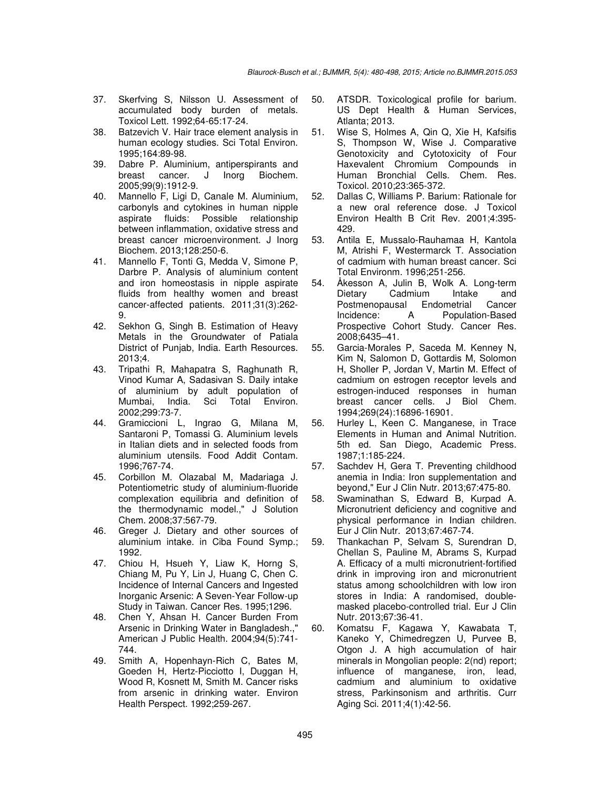- 37. Skerfving S, Nilsson U. Assessment of accumulated body burden of metals. Toxicol Lett. 1992;64-65:17-24.
- 38. Batzevich V. Hair trace element analysis in human ecology studies. Sci Total Environ. 1995;164:89-98.
- 39. Dabre P. Aluminium, antiperspirants and breast cancer. J Inorg Biochem. 2005;99(9):1912-9.
- 40. Mannello F, Ligi D, Canale M. Aluminium, carbonyls and cytokines in human nipple aspirate fluids: Possible relationship between inflammation, oxidative stress and breast cancer microenvironment. J Inorg Biochem. 2013;128:250-6.
- 41. Mannello F, Tonti G, Medda V, Simone P, Darbre P. Analysis of aluminium content and iron homeostasis in nipple aspirate fluids from healthy women and breast cancer-affected patients. 2011;31(3):262- 9.
- 42. Sekhon G, Singh B. Estimation of Heavy Metals in the Groundwater of Patiala District of Punjab, India. Earth Resources. 2013;4.
- 43. Tripathi R, Mahapatra S, Raghunath R, Vinod Kumar A, Sadasivan S. Daily intake of aluminium by adult population of Mumbai, India. Sci Total Environ. 2002;299:73-7.
- 44. Gramiccioni L, Ingrao G, Milana M, Santaroni P, Tomassi G. Aluminium levels in Italian diets and in selected foods from aluminium utensils. Food Addit Contam. 1996;767-74.
- 45. Corbillon M. Olazabal M, Madariaga J. Potentiometric study of aluminium-fluoride complexation equilibria and definition of the thermodynamic model.," J Solution Chem. 2008;37:567-79.
- 46. Greger J. Dietary and other sources of aluminium intake. in Ciba Found Symp.; 1992.
- 47. Chiou H, Hsueh Y, Liaw K, Horng S, Chiang M, Pu Y, Lin J, Huang C, Chen C. Incidence of Internal Cancers and Ingested Inorganic Arsenic: A Seven-Year Follow-up Study in Taiwan. Cancer Res. 1995;1296.
- 48. Chen Y, Ahsan H. Cancer Burden From Arsenic in Drinking Water in Bangladesh.," American J Public Health. 2004;94(5):741- 744.
- 49. Smith A, Hopenhayn-Rich C, Bates M, Goeden H, Hertz-Picciotto I, Duggan H, Wood R, Kosnett M, Smith M. Cancer risks from arsenic in drinking water. Environ Health Perspect. 1992;259-267.
- 50. ATSDR. Toxicological profile for barium. US Dept Health & Human Services, Atlanta; 2013.
- 51. Wise S, Holmes A, Qin Q, Xie H, Kafsifis S, Thompson W, Wise J. Comparative Genotoxicity and Cytotoxicity of Four Haxevalent Chromium Compounds in Human Bronchial Cells. Chem. Res. Toxicol. 2010;23:365-372.
- 52. Dallas C, Williams P. Barium: Rationale for a new oral reference dose. J Toxicol Environ Health B Crit Rev. 2001;4:395- 429.
- 53. Antila E, Mussalo-Rauhamaa H, Kantola M, Atrishi F, Westermarck T. Association of cadmium with human breast cancer. Sci Total Environm. 1996;251-256.
- 54. Åkesson A, Julin B, Wolk A. Long-term Dietary Cadmium Intake and Postmenopausal Endometrial Cancer Incidence: A Population-Based Prospective Cohort Study. Cancer Res. 2008;6435–41.
- 55. Garcia-Morales P, Saceda M. Kenney N, Kim N, Salomon D, Gottardis M, Solomon H, Sholler P, Jordan V, Martin M. Effect of cadmium on estrogen receptor levels and estrogen-induced responses in human breast cancer cells. J Biol Chem. 1994;269(24):16896-16901.
- 56. Hurley L, Keen C. Manganese, in Trace Elements in Human and Animal Nutrition. 5th ed. San Diego, Academic Press. 1987;1:185-224.
- 57. Sachdev H, Gera T. Preventing childhood anemia in India: Iron supplementation and beyond," Eur J Clin Nutr. 2013;67:475-80.
- 58. Swaminathan S, Edward B, Kurpad A. Micronutrient deficiency and cognitive and physical performance in Indian children. Eur J Clin Nutr. 2013;67:467-74.
- 59. Thankachan P, Selvam S, Surendran D, Chellan S, Pauline M, Abrams S, Kurpad A. Efficacy of a multi micronutrient-fortified drink in improving iron and micronutrient status among schoolchildren with low iron stores in India: A randomised, doublemasked placebo-controlled trial. Eur J Clin Nutr. 2013;67:36-41.
- 60. Komatsu F, Kagawa Y, Kawabata T, Kaneko Y, Chimedregzen U, Purvee B, Otgon J. A high accumulation of hair minerals in Mongolian people: 2(nd) report; influence of manganese, iron, lead, cadmium and aluminium to oxidative stress, Parkinsonism and arthritis. Curr Aging Sci. 2011;4(1):42-56.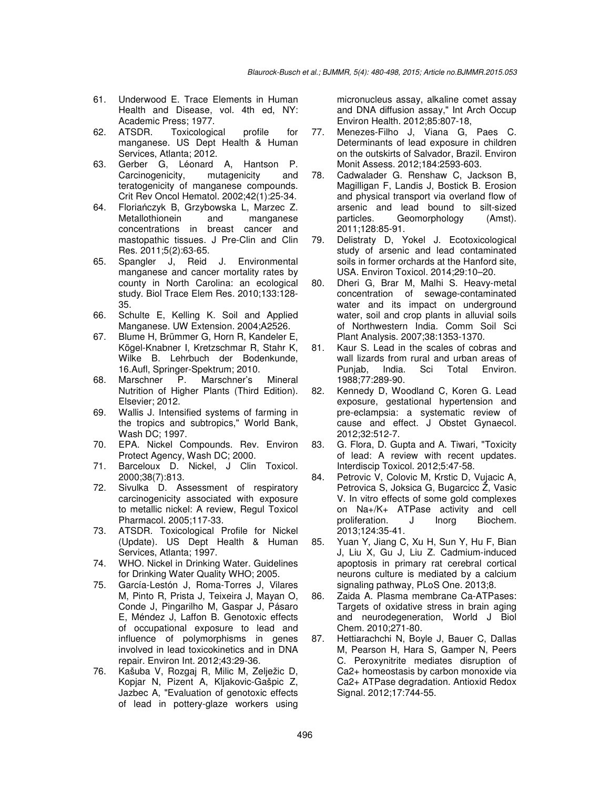- 61. Underwood E. Trace Elements in Human Health and Disease, vol. 4th ed, NY: Academic Press; 1977.
- 62. ATSDR. Toxicological profile for manganese. US Dept Health & Human Services, Atlanta; 2012.
- 63. Gerber G, Léonard A, Hantson P. Carcinogenicity, mutagenicity and teratogenicity of manganese compounds. Crit Rev Oncol Hematol. 2002;42(1):25-34.
- 64. Floriańczyk B, Grzybowska L, Marzec Z. Metallothionein and manganese concentrations in breast cancer and mastopathic tissues. J Pre-Clin and Clin Res. 2011;5(2):63-65.
- 65. Spangler J, Reid J. Environmental manganese and cancer mortality rates by county in North Carolina: an ecological study. Biol Trace Elem Res. 2010;133:128- 35.
- 66. Schulte E, Kelling K. Soil and Applied Manganese. UW Extension. 2004;A2526.
- 67. Blume H, Brümmer G, Horn R, Kandeler E, Kögel-Knabner I, Kretzschmar R, Stahr K, Wilke B. Lehrbuch der Bodenkunde, 16.Aufl, Springer-Spektrum; 2010.
- 68. Marschner P. Marschner's Mineral Nutrition of Higher Plants (Third Edition). Elsevier; 2012.
- 69. Wallis J. Intensified systems of farming in the tropics and subtropics," World Bank, Wash DC; 1997.
- 70. EPA. Nickel Compounds. Rev. Environ Protect Agency, Wash DC; 2000.
- 71. Barceloux D. Nickel, J Clin Toxicol. 2000;38(7):813.
- 72. Sivulka D. Assessment of respiratory carcinogenicity associated with exposure to metallic nickel: A review, Regul Toxicol Pharmacol. 2005;117-33.
- 73. ATSDR. Toxicological Profile for Nickel (Update). US Dept Health & Human Services, Atlanta; 1997.
- 74. WHO. Nickel in Drinking Water. Guidelines for Drinking Water Quality WHO; 2005.
- 75. García-Lestón J, Roma-Torres J, Vilares M, Pinto R, Prista J, Teixeira J, Mayan O, Conde J, Pingarilho M, Gaspar J, Pásaro E, Méndez J, Laffon B. Genotoxic effects of occupational exposure to lead and influence of polymorphisms in genes involved in lead toxicokinetics and in DNA repair. Environ Int. 2012;43:29-36.
- 76. Kašuba V, Rozgaj R, Milic M, Zelježic D, Kopjar N, Pizent A, Kljakovic-Gašpic Z, Jazbec A, "Evaluation of genotoxic effects of lead in pottery-glaze workers using

micronucleus assay, alkaline comet assay and DNA diffusion assay," Int Arch Occup Environ Health. 2012;85:807-18,

- 77. Menezes-Filho J, Viana G, Paes C. Determinants of lead exposure in children on the outskirts of Salvador, Brazil. Environ Monit Assess. 2012;184:2593-603.
- 78. Cadwalader G. Renshaw C, Jackson B, Magilligan F, Landis J, Bostick B. Erosion and physical transport via overland flow of arsenic and lead bound to silt-sized particles. Geomorphology (Amst). 2011;128:85-91.
- 79. Delistraty D, Yokel J. Ecotoxicological study of arsenic and lead contaminated soils in former orchards at the Hanford site, USA. Environ Toxicol. 2014;29:10–20.
- 80. Dheri G, Brar M, Malhi S. Heavy-metal concentration of sewage-contaminated water and its impact on underground water, soil and crop plants in alluvial soils of Northwestern India. Comm Soil Sci Plant Analysis. 2007;38:1353-1370.
- 81. Kaur S. Lead in the scales of cobras and wall lizards from rural and urban areas of Punjab, India. Sci Total Environ. 1988;77:289-90.
- 82. Kennedy D, Woodland C, Koren G. Lead exposure, gestational hypertension and pre-eclampsia: a systematic review of cause and effect. J Obstet Gynaecol. 2012;32:512-7.
- 83. G. Flora, D. Gupta and A. Tiwari, "Toxicity of lead: A review with recent updates. Interdiscip Toxicol. 2012;5:47-58.
- 84. Petrovic V, Colovic M, Krstic D, Vujacic A, Petrovica S, Joksica G, Bugarcicc Ž, Vasic V. In vitro effects of some gold complexes on Na+/K+ ATPase activity and cell proliferation. J Inorg Biochem. 2013;124:35-41.
- 85. Yuan Y, Jiang C, Xu H, Sun Y, Hu F, Bian J, Liu X, Gu J, Liu Z. Cadmium-induced apoptosis in primary rat cerebral cortical neurons culture is mediated by a calcium signaling pathway, PLoS One. 2013;8.
- 86. Zaida A. Plasma membrane Ca-ATPases: Targets of oxidative stress in brain aging and neurodegeneration, World J Biol Chem. 2010;271-80.
- 87. Hettiarachchi N, Boyle J, Bauer C, Dallas M, Pearson H, Hara S, Gamper N, Peers C. Peroxynitrite mediates disruption of Ca2+ homeostasis by carbon monoxide via Ca2+ ATPase degradation. Antioxid Redox Signal. 2012;17:744-55.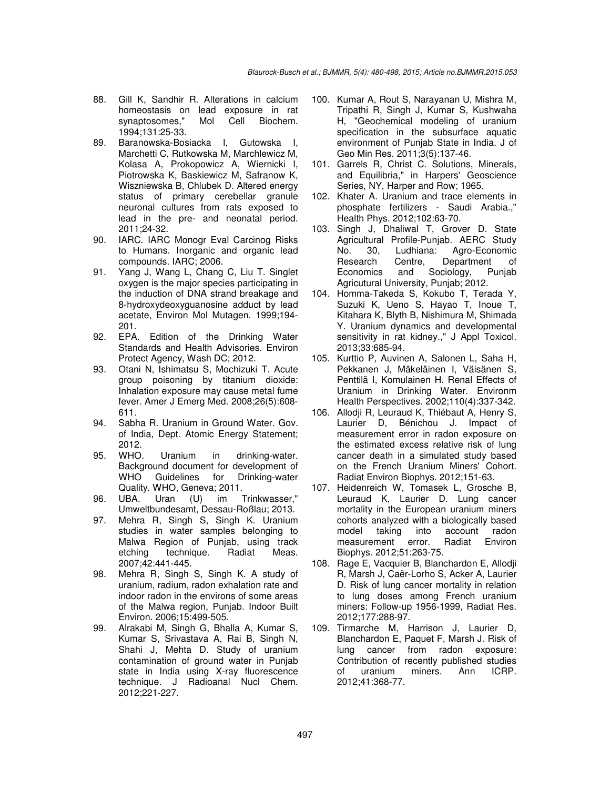- 88. Gill K, Sandhir R. Alterations in calcium homeostasis on lead exposure in rat synaptosomes," Mol Cell Biochem. 1994;131:25-33.
- 89. Baranowska-Bosiacka I, Gutowska I, Marchetti C, Rutkowska M, Marchlewicz M, Kolasa A, Prokopowicz A, Wiernicki I, Piotrowska K, Baskiewicz M, Safranow K, Wiszniewska B, Chlubek D. Altered energy status of primary cerebellar granule neuronal cultures from rats exposed to lead in the pre- and neonatal period. 2011;24-32.
- 90. IARC. IARC Monogr Eval Carcinog Risks to Humans. Inorganic and organic lead compounds. IARC; 2006.
- 91. Yang J, Wang L, Chang C, Liu T. Singlet oxygen is the major species participating in the induction of DNA strand breakage and 8-hydroxydeoxyguanosine adduct by lead acetate, Environ Mol Mutagen. 1999;194- 201.
- 92. EPA. Edition of the Drinking Water Standards and Health Advisories. Environ Protect Agency, Wash DC; 2012.
- 93. Otani N, Ishimatsu S, Mochizuki T. Acute group poisoning by titanium dioxide: Inhalation exposure may cause metal fume fever. Amer J Emerg Med. 2008;26(5):608- 611.
- 94. Sabha R. Uranium in Ground Water. Gov. of India, Dept. Atomic Energy Statement; 2012.
- 95. WHO. Uranium in drinking-water. Background document for development of WHO Guidelines for Drinking-water Quality. WHO, Geneva; 2011.
- 96. UBA. Uran (U) im Trinkwasser," Umweltbundesamt, Dessau-Roßlau; 2013.
- 97. Mehra R, Singh S, Singh K. Uranium studies in water samples belonging to Malwa Region of Punjab, using track etching technique. Radiat Meas. 2007;42:441-445.
- 98. Mehra R, Singh S, Singh K. A study of uranium, radium, radon exhalation rate and indoor radon in the environs of some areas of the Malwa region, Punjab. Indoor Built Environ. 2006;15:499-505.
- 99. Alrakabi M, Singh G, Bhalla A, Kumar S, Kumar S, Srivastava A, Rai B, Singh N, Shahi J, Mehta D. Study of uranium contamination of ground water in Punjab state in India using X-ray fluorescence technique. J Radioanal Nucl Chem. 2012;221-227.
- 100. Kumar A, Rout S, Narayanan U, Mishra M, Tripathi R, Singh J, Kumar S, Kushwaha H, "Geochemical modeling of uranium specification in the subsurface aquatic environment of Punjab State in India. J of Geo Min Res. 2011;3(5):137-46.
- 101. Garrels R, Christ C. Solutions, Minerals, and Equilibria," in Harpers' Geoscience Series, NY, Harper and Row; 1965.
- 102. Khater A. Uranium and trace elements in phosphate fertilizers - Saudi Arabia.," Health Phys. 2012;102:63-70.
- 103. Singh J, Dhaliwal T, Grover D. State Agricultural Profile-Punjab. AERC Study No. 30, Ludhiana: Agro-Economic Research Centre, Department of Economics and Sociology, Punjab Agricutural University, Punjab; 2012.
- 104. Homma-Takeda S, Kokubo T, Terada Y, Suzuki K, Ueno S, Hayao T, Inoue T, Kitahara K, Blyth B, Nishimura M, Shimada Y. Uranium dynamics and developmental sensitivity in rat kidney.," J Appl Toxicol. 2013;33:685-94.
- 105. Kurttio P, Auvinen A, Salonen L, Saha H, Pekkanen J, Mäkeläinen I, Väisänen S, Penttilä I, Komulainen H. Renal Effects of Uranium in Drinking Water. Environm Health Perspectives. 2002;110(4):337-342.
- 106. Allodji R, Leuraud K, Thiébaut A, Henry S, Laurier D, Bénichou J. Impact of measurement error in radon exposure on the estimated excess relative risk of lung cancer death in a simulated study based on the French Uranium Miners' Cohort. Radiat Environ Biophys. 2012;151-63.
- 107. Heidenreich W, Tomasek L, Grosche B, Leuraud K, Laurier D. Lung cancer mortality in the European uranium miners cohorts analyzed with a biologically based model taking into account radon measurement error. Radiat Environ Biophys. 2012;51:263-75.
- 108. Rage E, Vacquier B, Blanchardon E, Allodji R, Marsh J, Caër-Lorho S, Acker A, Laurier D. Risk of lung cancer mortality in relation to lung doses among French uranium miners: Follow-up 1956-1999, Radiat Res. 2012;177:288-97.
- 109. Tirmarche M, Harrison J, Laurier D, Blanchardon E, Paquet F, Marsh J. Risk of lung cancer from radon exposure: Contribution of recently published studies of uranium miners. Ann ICRP. 2012;41:368-77.